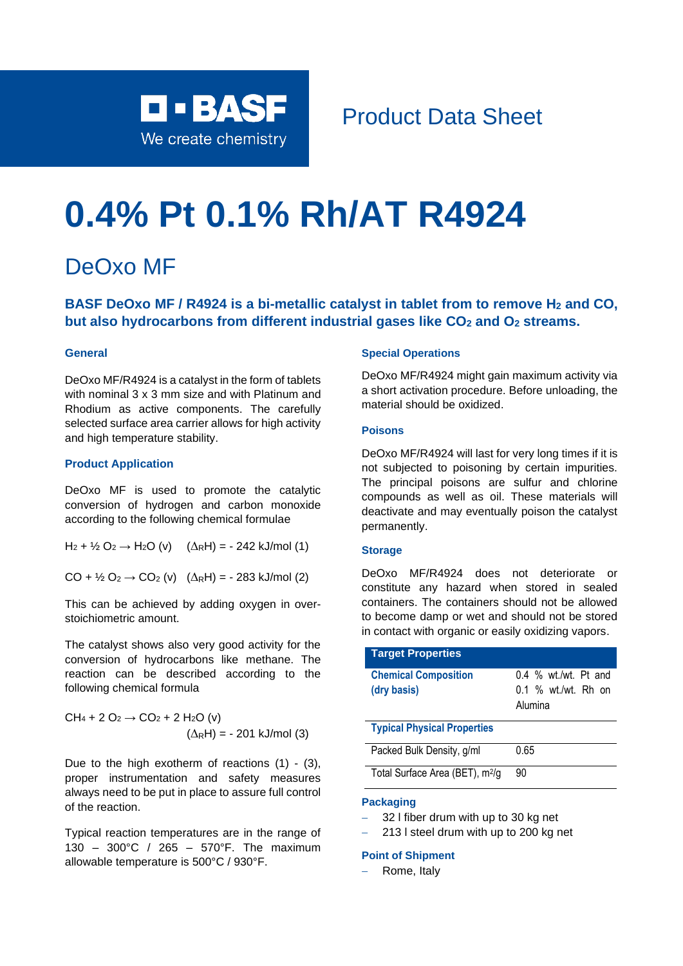

# Product Data Sheet

# **0.4% Pt 0.1% Rh/AT R4924**

## DeOxo MF

**BASF DeOxo MF / R4924 is a bi-metallic catalyst in tablet from to remove H<sup>2</sup> and CO, but also hydrocarbons from different industrial gases like CO<sup>2</sup> and O<sup>2</sup> streams.**

#### **General**

DeOxo MF/R4924 is a catalyst in the form of tablets with nominal 3 x 3 mm size and with Platinum and Rhodium as active components. The carefully selected surface area carrier allows for high activity and high temperature stability.

#### **Product Application**

DeOxo MF is used to promote the catalytic conversion of hydrogen and carbon monoxide according to the following chemical formulae

 $H_2 + \frac{1}{2} O_2 \rightarrow H_2 O$  (v)  $(\Delta_R H) = -242$  kJ/mol (1)

 $CO + \frac{1}{2}O_2 \rightarrow CO_2$  (v)  $(\Delta_R H) = -283$  kJ/mol (2)

This can be achieved by adding oxygen in overstoichiometric amount.

The catalyst shows also very good activity for the conversion of hydrocarbons like methane. The reaction can be described according to the following chemical formula

CH<sup>4</sup> + 2 O<sup>2</sup> → CO<sup>2</sup> + 2 H2O (v) (RH) = - 201 kJ/mol (3)

Due to the high exotherm of reactions (1) - (3), proper instrumentation and safety measures always need to be put in place to assure full control of the reaction.

Typical reaction temperatures are in the range of 130 – 300°C / 265 – 570°F. The maximum allowable temperature is 500°C / 930°F.

#### **Special Operations**

DeOxo MF/R4924 might gain maximum activity via a short activation procedure. Before unloading, the material should be oxidized.

#### **Poisons**

DeOxo MF/R4924 will last for very long times if it is not subjected to poisoning by certain impurities. The principal poisons are sulfur and chlorine compounds as well as oil. These materials will deactivate and may eventually poison the catalyst permanently.

#### **Storage**

DeOxo MF/R4924 does not deteriorate or constitute any hazard when stored in sealed containers. The containers should not be allowed to become damp or wet and should not be stored in contact with organic or easily oxidizing vapors.

| <b>Target Properties</b>                    |                        |
|---------------------------------------------|------------------------|
| <b>Chemical Composition</b>                 | $0.4\%$ wt./wt. Pt and |
| (dry basis)                                 | 0.1 % wt./wt. Rh on    |
|                                             | Alumina                |
| <b>Typical Physical Properties</b>          |                        |
| Packed Bulk Density, g/ml                   | 0.65                   |
| Total Surface Area (BET), m <sup>2</sup> /g | 90                     |

#### **Packaging**

- − 32 l fiber drum with up to 30 kg net
- − 213 l steel drum with up to 200 kg net

#### **Point of Shipment**

− Rome, Italy